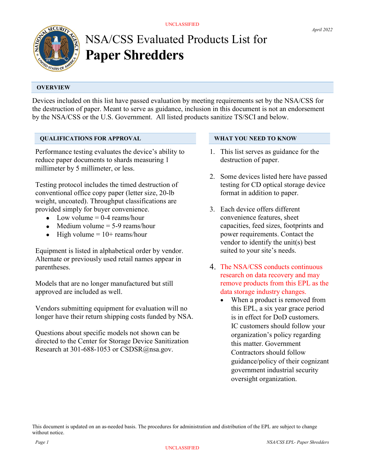

# NSA/CSS Evaluated Products List for Paper Shredders

### **OVERVIEW**

Devices included on this list have passed evaluation by meeting requirements set by the NSA/CSS for the destruction of paper. Meant to serve as guidance, inclusion in this document is not an endorsement by the NSA/CSS or the U.S. Government. All listed products sanitize TS/SCI and below.

### QUALIFICATIONS FOR APPROVAL

Performance testing evaluates the device's ability to reduce paper documents to shards measuring 1 millimeter by 5 millimeter, or less.

Testing protocol includes the timed destruction of conventional office copy paper (letter size, 20-lb weight, uncoated). Throughput classifications are provided simply for buyer convenience.

- $\bullet$  Low volume = 0-4 reams/hour
- $\bullet$  Medium volume = 5-9 reams/hour
- $\bullet$  High volume = 10+ reams/hour

Equipment is listed in alphabetical order by vendor. Alternate or previously used retail names appear in parentheses.

Models that are no longer manufactured but still approved are included as well.

Vendors submitting equipment for evaluation will no longer have their return shipping costs funded by NSA.

Questions about specific models not shown can be directed to the Center for Storage Device Sanitization Research at 301-688-1053 or CSDSR@nsa.gov.

### WHAT YOU NEED TO KNOW

- 1. This list serves as guidance for the destruction of paper.
- 2. Some devices listed here have passed testing for CD optical storage device format in addition to paper.
- 3. Each device offers different convenience features, sheet capacities, feed sizes, footprints and power requirements. Contact the vendor to identify the unit(s) best suited to your site's needs.
- 4. The NSA/CSS conducts continuous research on data recovery and may remove products from this EPL as the data storage industry changes.
	- When a product is removed from this EPL, a six year grace period is in effect for DoD customers. IC customers should follow your organization's policy regarding this matter. Government Contractors should follow guidance/policy of their cognizant government industrial security oversight organization.

This document is updated on an as-needed basis. The procedures for administration and distribution of the EPL are subject to change without notice.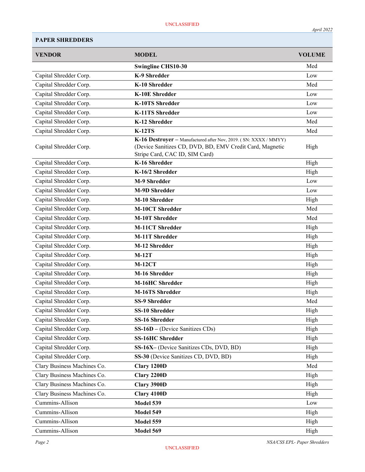| <b>VENDOR</b>               | <b>MODEL</b>                                                                                                                                                   | <b>VOLUME</b> |
|-----------------------------|----------------------------------------------------------------------------------------------------------------------------------------------------------------|---------------|
|                             | <b>Swingline CHS10-30</b>                                                                                                                                      | Med           |
| Capital Shredder Corp.      | K-9 Shredder                                                                                                                                                   | Low           |
| Capital Shredder Corp.      | K-10 Shredder                                                                                                                                                  | Med           |
| Capital Shredder Corp.      | <b>K-10E Shredder</b>                                                                                                                                          | Low           |
| Capital Shredder Corp.      | <b>K-10TS Shredder</b>                                                                                                                                         | Low           |
| Capital Shredder Corp.      | <b>K-11TS Shredder</b>                                                                                                                                         | Low           |
| Capital Shredder Corp.      | K-12 Shredder                                                                                                                                                  | Med           |
| Capital Shredder Corp.      | <b>K-12TS</b>                                                                                                                                                  | Med           |
| Capital Shredder Corp.      | K-16 Destroyer - Manufactured after Nov, 2019. (SN: XXXX / MMYY)<br>(Device Sanitizes CD, DVD, BD, EMV Credit Card, Magnetic<br>Stripe Card, CAC ID, SIM Card) | High          |
| Capital Shredder Corp.      | K-16 Shredder                                                                                                                                                  | High          |
| Capital Shredder Corp.      | K-16/2 Shredder                                                                                                                                                | High          |
| Capital Shredder Corp.      | <b>M-9 Shredder</b>                                                                                                                                            | Low           |
| Capital Shredder Corp.      | <b>M-9D Shredder</b>                                                                                                                                           | Low           |
| Capital Shredder Corp.      | <b>M-10 Shredder</b>                                                                                                                                           | High          |
| Capital Shredder Corp.      | <b>M-10CT Shredder</b>                                                                                                                                         | Med           |
| Capital Shredder Corp.      | <b>M-10T Shredder</b>                                                                                                                                          | Med           |
| Capital Shredder Corp.      | <b>M-11CT Shredder</b>                                                                                                                                         | High          |
| Capital Shredder Corp.      | <b>M-11T Shredder</b>                                                                                                                                          | High          |
| Capital Shredder Corp.      | M-12 Shredder                                                                                                                                                  | High          |
| Capital Shredder Corp.      | $M-12T$                                                                                                                                                        | High          |
| Capital Shredder Corp.      | $M-12CT$                                                                                                                                                       | High          |
| Capital Shredder Corp.      | M-16 Shredder                                                                                                                                                  | High          |
| Capital Shredder Corp.      | M-16HC Shredder                                                                                                                                                | High          |
| Capital Shredder Corp.      | <b>M-16TS Shredder</b>                                                                                                                                         | High          |
| Capital Shredder Corp.      | <b>SS-9 Shredder</b>                                                                                                                                           | Med           |
| Capital Shredder Corp.      | <b>SS-10 Shredder</b>                                                                                                                                          | High          |
| Capital Shredder Corp.      | SS-16 Shredder                                                                                                                                                 | High          |
| Capital Shredder Corp.      | $SS-16D$ – (Device Sanitizes CDs)                                                                                                                              | High          |
| Capital Shredder Corp.      | <b>SS-16HC Shredder</b>                                                                                                                                        | High          |
| Capital Shredder Corp.      | SS-16X- (Device Sanitizes CDs, DVD, BD)                                                                                                                        | High          |
| Capital Shredder Corp.      | SS-30 (Device Sanitizes CD, DVD, BD)                                                                                                                           | High          |
| Clary Business Machines Co. | Clary 1200D                                                                                                                                                    | Med           |
| Clary Business Machines Co. | Clary 2200D                                                                                                                                                    | High          |
| Clary Business Machines Co. | Clary 3900D                                                                                                                                                    | High          |
| Clary Business Machines Co. | Clary 4100D                                                                                                                                                    | High          |
| Cummins-Allison             | Model 539                                                                                                                                                      | Low           |
| Cummins-Allison             | Model 549                                                                                                                                                      | High          |
| Cummins-Allison             | Model 559                                                                                                                                                      | High          |
| Cummins-Allison             | Model 569                                                                                                                                                      | High          |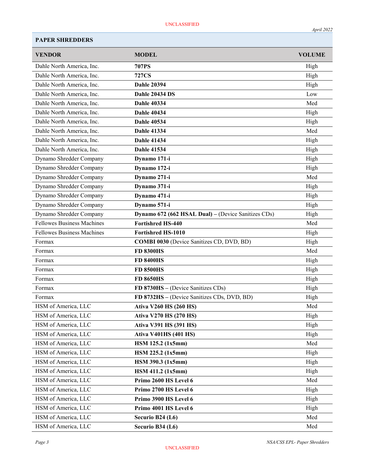| <b>VENDOR</b>                     | <b>MODEL</b>                                        | <b>VOLUME</b> |
|-----------------------------------|-----------------------------------------------------|---------------|
| Dahle North America, Inc.         | <b>707PS</b>                                        | High          |
| Dahle North America, Inc.         | <b>727CS</b>                                        | High          |
| Dahle North America, Inc.         | <b>Dahle 20394</b>                                  | High          |
| Dahle North America, Inc.         | <b>Dahle 20434 DS</b>                               | Low           |
| Dahle North America, Inc.         | <b>Dahle 40334</b>                                  | Med           |
| Dahle North America, Inc.         | <b>Dahle 40434</b>                                  | High          |
| Dahle North America, Inc.         | <b>Dahle 40534</b>                                  | High          |
| Dahle North America, Inc.         | <b>Dahle 41334</b>                                  | Med           |
| Dahle North America, Inc.         | <b>Dahle 41434</b>                                  | High          |
| Dahle North America, Inc.         | <b>Dahle 41534</b>                                  | High          |
| Dynamo Shredder Company           | Dynamo 171-i                                        | High          |
| Dynamo Shredder Company           | Dynamo 172-i                                        | High          |
| Dynamo Shredder Company           | Dynamo 271-i                                        | Med           |
| Dynamo Shredder Company           | Dynamo 371-i                                        | High          |
| Dynamo Shredder Company           | Dynamo 471-i                                        | High          |
| Dynamo Shredder Company           | Dynamo 571-i                                        | High          |
| Dynamo Shredder Company           | Dynamo 672 (662 HSAL Dual) – (Device Sanitizes CDs) | High          |
| <b>Fellowes Business Machines</b> | <b>Fortishred HS-440</b>                            | Med           |
| <b>Fellowes Business Machines</b> | <b>Fortishred HS-1010</b>                           | High          |
| Formax                            | <b>COMBI 0030</b> (Device Sanitizes CD, DVD, BD)    | High          |
| Formax                            | <b>FD 8300HS</b>                                    | Med           |
| Formax                            | <b>FD 8400HS</b>                                    | High          |
| Formax                            | <b>FD 8500HS</b>                                    | High          |
| Formax                            | <b>FD 8650HS</b>                                    | High          |
| Formax                            | FD 8730HS - (Device Sanitizes CDs)                  | High          |
| Formax                            | FD 8732HS - (Device Sanitizes CDs, DVD, BD)         | High          |
| HSM of America, LLC               | <b>Ativa V260 HS (260 HS)</b>                       | Med           |
| HSM of America, LLC               | <b>Ativa V270 HS (270 HS)</b>                       | High          |
| HSM of America, LLC               | <b>Ativa V391 HS (391 HS)</b>                       | High          |
| HSM of America, LLC               | <b>Ativa V401HS (401 HS)</b>                        | High          |
| HSM of America, LLC               | HSM 125.2 (1x5mm)                                   | Med           |
| HSM of America, LLC               | HSM 225.2 (1x5mm)                                   | High          |
| HSM of America, LLC               | HSM 390.3 (1x5mm)                                   | High          |
| HSM of America, LLC               | HSM 411.2 (1x5mm)                                   | High          |
| HSM of America, LLC               | Primo 2600 HS Level 6                               | Med           |
| HSM of America, LLC               | Primo 2700 HS Level 6                               | High          |
| HSM of America, LLC               | Primo 3900 HS Level 6                               | High          |
| HSM of America, LLC               | Primo 4001 HS Level 6                               | High          |
| HSM of America, LLC               | Securio B24 (L6)                                    | Med           |
| HSM of America, LLC               | Securio B34 (L6)                                    | Med           |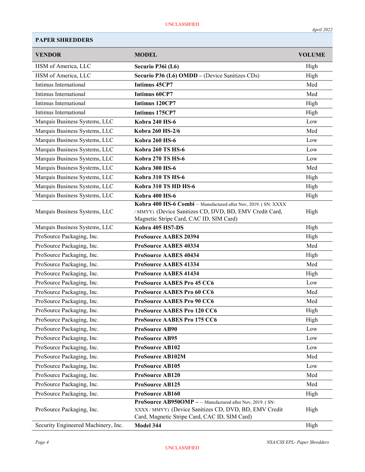| <b>VENDOR</b>                                              | <b>MODEL</b>                                                                                          | <b>VOLUME</b> |
|------------------------------------------------------------|-------------------------------------------------------------------------------------------------------|---------------|
| HSM of America, LLC                                        | Securio P36i (L6)                                                                                     | High          |
| HSM of America, LLC                                        | Securio P36 (L6) OMDD - (Device Sanitizes CDs)                                                        | High          |
| Intimus International                                      | <b>Intimus 45CP7</b>                                                                                  | Med           |
| Intimus International                                      | <b>Intimus 60CP7</b>                                                                                  | Med           |
| Intimus International                                      | <b>Intimus 120CP7</b>                                                                                 | High          |
| Intimus International                                      | Intimus 175CP7                                                                                        | High          |
| Marquis Business Systems, LLC                              | <b>Kobra 240 HS-6</b>                                                                                 | Low           |
| Marquis Business Systems, LLC                              | Kobra 260 HS-2/6                                                                                      | Med           |
| Marquis Business Systems, LLC                              | <b>Kobra 260 HS-6</b>                                                                                 | Low           |
| Marquis Business Systems, LLC                              | Kobra 260 TS HS-6                                                                                     | Low           |
| Marquis Business Systems, LLC                              | Kobra 270 TS HS-6                                                                                     | Low           |
| Marquis Business Systems, LLC                              | Kobra 300 HS-6                                                                                        | Med           |
| Marquis Business Systems, LLC                              | Kobra 310 TS HS-6                                                                                     | High          |
| Marquis Business Systems, LLC                              | Kobra 310 TS HD HS-6                                                                                  | High          |
| Marquis Business Systems, LLC                              | Kobra 400 HS-6                                                                                        | High          |
|                                                            | Kobra 400 HS-6 Combi - Manufactured after Nov, 2019. (SN: XXXX                                        |               |
| Marquis Business Systems, LLC                              | / MMYY) (Device Sanitizes CD, DVD, BD, EMV Credit Card,                                               | High          |
|                                                            | Magnetic Stripe Card, CAC ID, SIM Card)                                                               |               |
| Marquis Business Systems, LLC<br>ProSource Packaging, Inc. | Kobra 405 HS7-DS                                                                                      | High          |
| ProSource Packaging, Inc.                                  | <b>ProSource AABES 20394</b><br><b>ProSource AABES 40334</b>                                          | High<br>Med   |
| ProSource Packaging, Inc.                                  |                                                                                                       |               |
| ProSource Packaging, Inc.                                  | <b>ProSource AABES 40434</b>                                                                          | High<br>Med   |
|                                                            | <b>ProSource AABES 41334</b>                                                                          |               |
| ProSource Packaging, Inc.<br>ProSource Packaging, Inc.     | <b>ProSource AABES 41434</b><br><b>ProSource AABES Pro 45 CC6</b>                                     | High<br>Low   |
| ProSource Packaging, Inc.                                  | <b>ProSource AABES Pro 60 CC6</b>                                                                     | Med           |
| ProSource Packaging, Inc.                                  |                                                                                                       | Med           |
| ProSource Packaging, Inc.                                  | <b>ProSource AABES Pro 90 CC6</b>                                                                     | High          |
|                                                            | ProSource AABES Pro 120 CC6                                                                           |               |
| ProSource Packaging, Inc.                                  | ProSource AABES Pro 175 CC6<br>ProSource AB90                                                         | High<br>Low   |
| ProSource Packaging, Inc.<br>ProSource Packaging, Inc.     |                                                                                                       |               |
|                                                            | ProSource AB95                                                                                        | Low           |
| ProSource Packaging, Inc.                                  | ProSource AB102                                                                                       | Low<br>Med    |
| ProSource Packaging, Inc.                                  | <b>ProSource AB102M</b>                                                                               |               |
| ProSource Packaging, Inc.                                  | ProSource AB105                                                                                       | Low           |
| ProSource Packaging, Inc.                                  | ProSource AB120                                                                                       | Med           |
| ProSource Packaging, Inc.                                  | ProSource AB125                                                                                       | Med           |
| ProSource Packaging, Inc.                                  | ProSource AB160<br>ProSource AB950OMP - - Manufactured after Nov, 2019. (SN:                          | High          |
| ProSource Packaging, Inc.                                  | XXXX/MMYY) (Device Sanitizes CD, DVD, BD, EMV Credit<br>Card, Magnetic Stripe Card, CAC ID, SIM Card) | High          |
| Security Engineered Machinery, Inc.                        | Model 344                                                                                             | High          |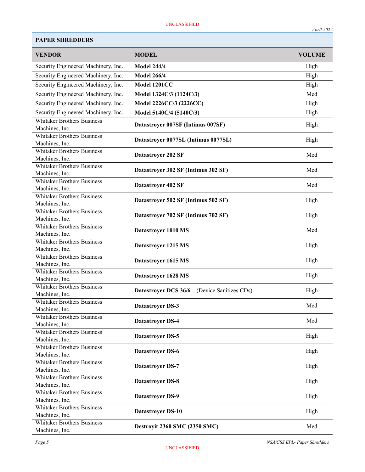| <b>VENDOR</b>                                       | <b>MODEL</b>                                         | <b>VOLUME</b> |
|-----------------------------------------------------|------------------------------------------------------|---------------|
| Security Engineered Machinery, Inc.                 | <b>Model 244/4</b>                                   | High          |
| Security Engineered Machinery, Inc.                 | <b>Model 266/4</b>                                   | High          |
| Security Engineered Machinery, Inc.                 | Model 1201CC                                         | High          |
| Security Engineered Machinery, Inc.                 | Model 1324C/3 (1124C/3)                              | Med           |
| Security Engineered Machinery, Inc.                 | Model 2226CC/3 (2226CC)                              | High          |
| Security Engineered Machinery, Inc.                 | Model 5140C/4 (5140C/3)                              | High          |
| <b>Whitaker Brothers Business</b>                   |                                                      |               |
| Machines, Inc.                                      | Datastroyer 007SF (Intimus 007SF)                    | High          |
| <b>Whitaker Brothers Business</b>                   | Datastroyer 0077SL (Intimus 0077SL)                  | High          |
| Machines, Inc.                                      |                                                      |               |
| <b>Whitaker Brothers Business</b>                   | Datastroyer 202 SF                                   | Med           |
| Machines, Inc.<br><b>Whitaker Brothers Business</b> |                                                      |               |
| Machines, Inc.                                      | Datastroyer 302 SF (Intimus 302 SF)                  | Med           |
| <b>Whitaker Brothers Business</b>                   |                                                      |               |
| Machines, Inc.                                      | Datastroyer 402 SF                                   | Med           |
| <b>Whitaker Brothers Business</b>                   | Datastroyer 502 SF (Intimus 502 SF)                  | High          |
| Machines, Inc.                                      |                                                      |               |
| <b>Whitaker Brothers Business</b>                   | Datastroyer 702 SF (Intimus 702 SF)                  | High          |
| Machines, Inc.<br><b>Whitaker Brothers Business</b> |                                                      |               |
| Machines, Inc.                                      | Datastroyer 1010 MS                                  | Med           |
| <b>Whitaker Brothers Business</b>                   |                                                      |               |
| Machines, Inc.                                      | Datastroyer 1215 MS                                  | High          |
| <b>Whitaker Brothers Business</b>                   |                                                      |               |
| Machines, Inc.                                      | Datastroyer 1615 MS                                  | High          |
| <b>Whitaker Brothers Business</b>                   | Datastroyer 1628 MS                                  | High          |
| Machines, Inc.                                      |                                                      |               |
| <b>Whitaker Brothers Business</b><br>Machines, Inc. | <b>Datastroyer DCS 36/6 – (Device Sanitizes CDs)</b> | High          |
| <b>Whitaker Brothers Business</b>                   |                                                      |               |
| Machines, Inc.                                      | <b>Datastroyer DS-3</b>                              | Med           |
| <b>Whitaker Brothers Business</b>                   |                                                      | Med           |
| Machines, Inc.                                      | <b>Datastroyer DS-4</b>                              |               |
| <b>Whitaker Brothers Business</b>                   | <b>Datastroyer DS-5</b>                              | High          |
| Machines, Inc.                                      |                                                      |               |
| <b>Whitaker Brothers Business</b><br>Machines, Inc. | <b>Datastroyer DS-6</b>                              | High          |
| <b>Whitaker Brothers Business</b>                   |                                                      |               |
| Machines, Inc.                                      | <b>Datastroyer DS-7</b>                              | High          |
| <b>Whitaker Brothers Business</b>                   |                                                      |               |
| Machines, Inc.                                      | <b>Datastroyer DS-8</b>                              | High          |
| <b>Whitaker Brothers Business</b>                   | <b>Datastroyer DS-9</b>                              | High          |
| Machines, Inc.                                      |                                                      |               |
| <b>Whitaker Brothers Business</b>                   | <b>Datastroyer DS-10</b>                             | High          |
| Machines, Inc.<br><b>Whitaker Brothers Business</b> |                                                      |               |
| Machines, Inc.                                      | <b>Destroyit 2360 SMC (2350 SMC)</b>                 | Med           |

Page 5 NSA/CSS EPL- Paper Shredders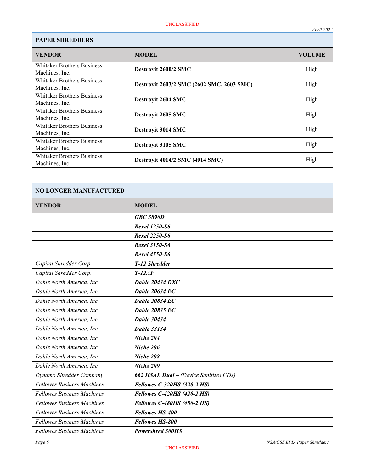| <b>PAPER SHREDDERS</b>            |                                           |               |
|-----------------------------------|-------------------------------------------|---------------|
| <b>VENDOR</b>                     | <b>MODEL</b>                              | <b>VOLUME</b> |
| <b>Whitaker Brothers Business</b> | Destroyit 2600/2 SMC                      | High          |
| Machines, Inc.                    |                                           |               |
| <b>Whitaker Brothers Business</b> | Destroyit 2603/2 SMC (2602 SMC, 2603 SMC) | High          |
| Machines, Inc.                    |                                           |               |
| <b>Whitaker Brothers Business</b> | Destroyit 2604 SMC                        | High          |
| Machines, Inc.                    |                                           |               |
| <b>Whitaker Brothers Business</b> | Destroyit 2605 SMC                        | High          |
| Machines, Inc.                    |                                           |               |
| <b>Whitaker Brothers Business</b> | Destroyit 3014 SMC                        | High          |
| Machines, Inc.                    |                                           |               |
| <b>Whitaker Brothers Business</b> | Destroyit 3105 SMC                        | High          |
| Machines, Inc.                    |                                           |               |
| <b>Whitaker Brothers Business</b> | <b>Destroyit 4014/2 SMC (4014 SMC)</b>    | High          |
| Machines, Inc.                    |                                           |               |

# NO LONGER MANUFACTURED

| <b>VENDOR</b>                     | <b>MODEL</b>                                  |
|-----------------------------------|-----------------------------------------------|
|                                   | <b>GBC 3890D</b>                              |
|                                   | <b>Rexel 1250-S6</b>                          |
|                                   | <b>Rexel 2250-S6</b>                          |
|                                   | <b>Rexel 3150-S6</b>                          |
|                                   | <b>Rexel 4550-S6</b>                          |
| Capital Shredder Corp.            | T-12 Shredder                                 |
| Capital Shredder Corp.            | $T-12AF$                                      |
| Dahle North America, Inc.         | Dahle 20434 DXC                               |
| Dahle North America, Inc.         | <b>Dahle 20634 EC</b>                         |
| Dahle North America, Inc.         | <b>Dahle 20834 EC</b>                         |
| Dahle North America, Inc.         | <b>Dahle 20835 EC</b>                         |
| Dahle North America, Inc.         | <b>Dahle 30434</b>                            |
| Dahle North America, Inc.         | <b>Dahle 33134</b>                            |
| Dahle North America, Inc.         | Niche 204                                     |
| Dahle North America, Inc.         | Niche 206                                     |
| Dahle North America, Inc.         | Niche 208                                     |
| Dahle North America, Inc.         | Niche 209                                     |
| Dynamo Shredder Company           | <b>662 HSAL Dual - (Device Sanitizes CDs)</b> |
| <b>Fellowes Business Machines</b> | <b>Fellowes C-320HS (320-2 HS)</b>            |
| <b>Fellowes Business Machines</b> | <b>Fellowes C-420HS (420-2 HS)</b>            |
| <b>Fellowes Business Machines</b> | <b>Fellowes C-480HS (480-2 HS)</b>            |
| <b>Fellowes Business Machines</b> | <b>Fellowes HS-400</b>                        |
| <b>Fellowes Business Machines</b> | <b>Fellowes HS-800</b>                        |
| <b>Fellowes Business Machines</b> | <b>Powershred 300HS</b>                       |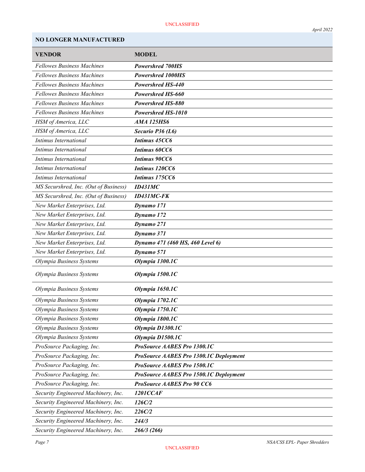# NO LONGER MANUFACTURED

| <b>VENDOR</b>                         | <b>MODEL</b>                           |
|---------------------------------------|----------------------------------------|
| <b>Fellowes Business Machines</b>     | <b>Powershred 700HS</b>                |
| <b>Fellowes Business Machines</b>     | Powershred 1000HS                      |
| <b>Fellowes Business Machines</b>     | <b>Powershred HS-440</b>               |
| <b>Fellowes Business Machines</b>     | Powershred HS-660                      |
| <b>Fellowes Business Machines</b>     | Powershred HS-880                      |
| <b>Fellowes Business Machines</b>     | Powershred HS-1010                     |
| HSM of America, LLC                   | <b>AMA 125HS6</b>                      |
| HSM of America, LLC                   | Securio P36 (L6)                       |
| Intimus International                 | Intimus 45CC6                          |
| Intimus International                 | <b>Intimus 60CC6</b>                   |
| Intimus International                 | <b>Intimus 90CC6</b>                   |
| Intimus International                 | Intimus 120CC6                         |
| Intimus International                 | Intimus 175CC6                         |
| MS Securshred, Inc. (Out of Business) | ID431MC                                |
| MS Securshred, Inc. (Out of Business) | <b>ID431MC-FK</b>                      |
| New Market Enterprises, Ltd.          | Dynamo 171                             |
| New Market Enterprises, Ltd.          | Dynamo 172                             |
| New Market Enterprises, Ltd.          | Dynamo 271                             |
| New Market Enterprises, Ltd.          | Dynamo 371                             |
| New Market Enterprises, Ltd.          | Dynamo 471 (460 HS, 460 Level 6)       |
| New Market Enterprises, Ltd.          | Dynamo 571                             |
| Olympia Business Systems              | Olympia 1300.1C                        |
| Olympia Business Systems              | Olympia 1500.1C                        |
| Olympia Business Systems              | Olympia 1650.1C                        |
| Olympia Business Systems              | Olympia 1702.1C                        |
| Olympia Business Systems              | Olympia 1750.1C                        |
| Olympia Business Systems              | Olympia 1800.1C                        |
| Olympia Business Systems              | Olympia D1300.1C                       |
| Olympia Business Systems              | Olympia D1500.1C                       |
| ProSource Packaging, Inc.             | ProSource AABES Pro 1300.1C            |
| ProSource Packaging, Inc.             | ProSource AABES Pro 1300.1C Deployment |
| ProSource Packaging, Inc.             | ProSource AABES Pro 1500.1C            |
| ProSource Packaging, Inc.             | ProSource AABES Pro 1500.1C Deployment |
| ProSource Packaging, Inc.             | ProSource AABES Pro 90 CC6             |
| Security Engineered Machinery, Inc.   | <b>1201CCAF</b>                        |
| Security Engineered Machinery, Inc.   | 126C/2                                 |
| Security Engineered Machinery, Inc.   | 226C/2                                 |
| Security Engineered Machinery, Inc.   | 244/3                                  |
| Security Engineered Machinery, Inc.   | 266/3 (266)                            |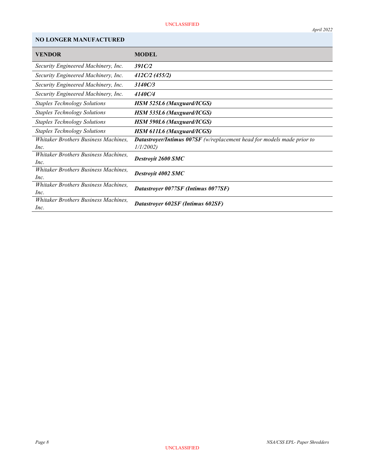### UNCLASSIFIED

# NO LONGER MANUFACTURED

| <b>VENDOR</b>                                       | <b>MODEL</b>                                                                              |
|-----------------------------------------------------|-------------------------------------------------------------------------------------------|
| Security Engineered Machinery, Inc.                 | 391C/2                                                                                    |
| Security Engineered Machinery, Inc.                 | 412C/2 (455/2)                                                                            |
| Security Engineered Machinery, Inc.                 | 3140C/3                                                                                   |
| Security Engineered Machinery, Inc.                 | 4140C/4                                                                                   |
| <b>Staples Technology Solutions</b>                 | <b>HSM 525L6 (Maxguard/ICGS)</b>                                                          |
| <b>Staples Technology Solutions</b>                 | <b>HSM 535L6 (Maxguard/ICGS)</b>                                                          |
| <b>Staples Technology Solutions</b>                 | <b>HSM 590L6 (Maxguard/ICGS)</b>                                                          |
| <b>Staples Technology Solutions</b>                 | <b>HSM 611L6 (Maxguard/ICGS)</b>                                                          |
| Whitaker Brothers Business Machines.<br>Inc.        | <b>Datastroyer/Intimus 007SF</b> (w/replacement head for models made prior to<br>1/1/2002 |
| Whitaker Brothers Business Machines.<br>Inc.        | <b>Destroyit 2600 SMC</b>                                                                 |
| Whitaker Brothers Business Machines,<br>Inc.        | Destroyit 4002 SMC                                                                        |
| <i>Whitaker Brothers Business Machines,</i><br>Inc. | Datastroyer 0077SF (Intimus 0077SF)                                                       |
| Whitaker Brothers Business Machines.<br>Inc.        | Datastroyer 602SF (Intimus 602SF)                                                         |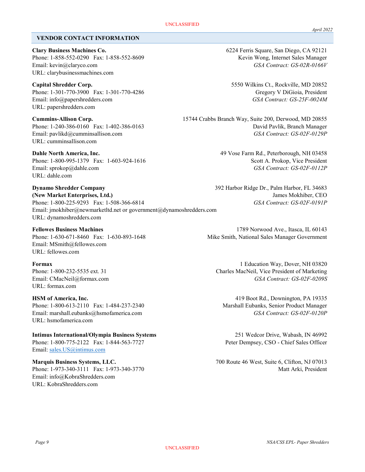### VENDOR CONTACT INFORMATION

Clary Business Machines Co. 6224 Ferris Square, San Diego, CA 92121 Phone: 1-858-552-0290 Fax: 1-858-552-8609 Kevin Wong, Internet Sales Manager Email: kevin@claryco.com GSA Contract: GS-02R-0166V URL: clarybusinessmachines.com

Phone: 1-301-770-3900 Fax: 1-301-770-4286 Gregory V DiGioia, President Email: info@papershredders.com GSA Contract: GS-25F-0024M URL: papershredders.com

URL: cumminsallison.com

Phone: 1-800-995-1379 Fax: 1-603-924-1616 Scott A. Prokop, Vice President Email: sprokop@dahle.com GSA Contract: GS-02F-0112P URL: dahle.com

Dynamo Shredder Company 392 Harbor Ridge Dr., Palm Harbor, FL 34683 (New Market Enterprises, Ltd.) James Mokhiber, CEO Phone: 1-800-225-9293 Fax: 1-508-366-6814 GSA Contract: GS-02F-0191P Email: jmokhiber@newmarketltd.net or government@dynamoshredders.com URL: dynamoshredders.com

Email: MSmith@fellowes.com URL: fellowes.com

URL: formax.com

Phone: 1-800-613-2110 Fax: 1-484-237-2340 Marshall Eubanks, Senior Product Manager Email: marshall.eubanks@hsmofamerica.com GSA Contract: GS-02F-0120P URL: hsmofamerica.com

Intimus International/Olympia Business Systems 251 Wedcor Drive, Wabash, IN 46992

Email: sales.US@intimus.com

Email: info@KobraShredders.com URL: KobraShredders.com

Capital Shredder Corp. 5550 Wilkins Ct., Rockville, MD 20852

Cummins-Allison Corp. 15744 Crabbs Branch Way, Suite 200, Derwood, MD 20855 Phone: 1-240-386-0160 Fax: 1-402-386-0163 David Pavlik, Branch Manager Email: pavlikd@cumminsallison.com GSA Contract: GS-02F-0129P

Dahle North America, Inc. 49 Vose Farm Rd., Peterborough, NH 03458

Fellowes Business Machines 1789 Norwood Ave., Itasca, IL 60143 Phone: 1-630-671-8460 Fax: 1-630-893-1648 Mike Smith, National Sales Manager Government

Formax 1 Education Way, Dover, NH 03820 Phone: 1-800-232-5535 ext. 31 Charles MacNeil, Vice President of Marketing Email: CMacNeil@formax.com GSA Contract: GS-02F-0209S

HSM of America, Inc. 419 Boot Rd., Downington, PA 19335

Phone: 1-800-775-2122 Fax: 1-844-563-7727 Peter Dempsey, CSO - Chief Sales Officer

Marquis Business Systems, LLC. 700 Route 46 West, Suite 6, Clifton, NJ 07013 Phone: 1-973-340-3111 Fax: 1-973-340-3770 Matt Arki, President

April 2022